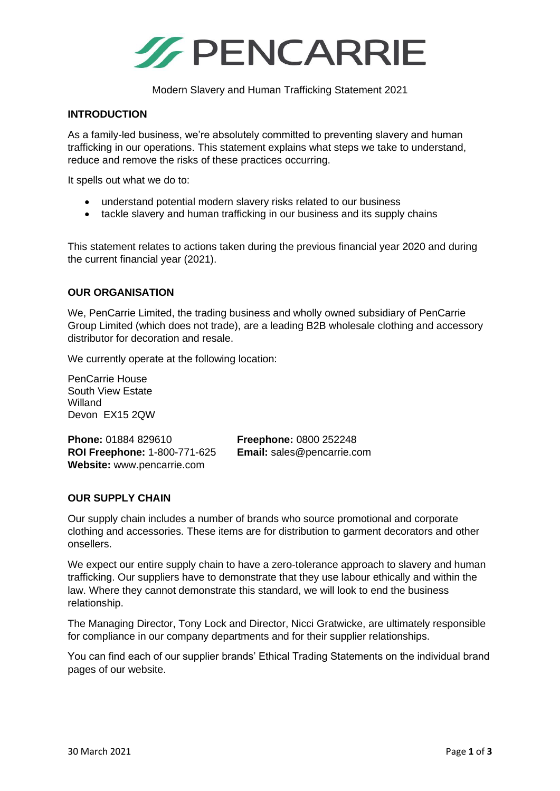

Modern Slavery and Human Trafficking Statement 2021

#### **INTRODUCTION**

As a family-led business, we're absolutely committed to preventing slavery and human trafficking in our operations. This statement explains what steps we take to understand, reduce and remove the risks of these practices occurring.

It spells out what we do to:

- understand potential modern slavery risks related to our business
- tackle slavery and human trafficking in our business and its supply chains

This statement relates to actions taken during the previous financial year 2020 and during the current financial year (2021).

#### **OUR ORGANISATION**

We, PenCarrie Limited, the trading business and wholly owned subsidiary of PenCarrie Group Limited (which does not trade), are a leading B2B wholesale clothing and accessory distributor for decoration and resale.

We currently operate at the following location:

PenCarrie House South View Estate Willand Devon EX15 2QW

**Phone:** 01884 829610 **Freephone:** 0800 252248 **ROI Freephone:** 1-800-771-625 **Email:** sales@pencarrie.com **Website:** www.pencarrie.com

## **OUR SUPPLY CHAIN**

Our supply chain includes a number of brands who source promotional and corporate clothing and accessories. These items are for distribution to garment decorators and other onsellers.

We expect our entire supply chain to have a zero-tolerance approach to slavery and human trafficking. Our suppliers have to demonstrate that they use labour ethically and within the law. Where they cannot demonstrate this standard, we will look to end the business relationship.

The Managing Director, Tony Lock and Director, Nicci Gratwicke, are ultimately responsible for compliance in our company departments and for their supplier relationships.

You can find each of our supplier brands' Ethical Trading Statements on the individual brand pages of our website.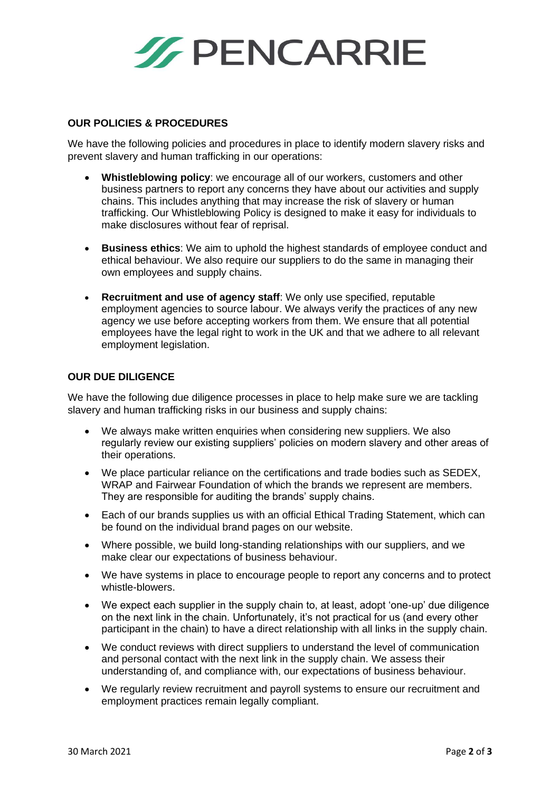

### **OUR POLICIES & PROCEDURES**

We have the following policies and procedures in place to identify modern slavery risks and prevent slavery and human trafficking in our operations:

- **Whistleblowing policy**: we encourage all of our workers, customers and other business partners to report any concerns they have about our activities and supply chains. This includes anything that may increase the risk of slavery or human trafficking. Our Whistleblowing Policy is designed to make it easy for individuals to make disclosures without fear of reprisal.
- **Business ethics**: We aim to uphold the highest standards of employee conduct and ethical behaviour. We also require our suppliers to do the same in managing their own employees and supply chains.
- **Recruitment and use of agency staff**: We only use specified, reputable employment agencies to source labour. We always verify the practices of any new agency we use before accepting workers from them. We ensure that all potential employees have the legal right to work in the UK and that we adhere to all relevant employment legislation.

#### **OUR DUE DILIGENCE**

We have the following due diligence processes in place to help make sure we are tackling slavery and human trafficking risks in our business and supply chains:

- We always make written enquiries when considering new suppliers. We also regularly review our existing suppliers' policies on modern slavery and other areas of their operations.
- We place particular reliance on the certifications and trade bodies such as SEDEX, WRAP and Fairwear Foundation of which the brands we represent are members. They are responsible for auditing the brands' supply chains.
- Each of our brands supplies us with an official Ethical Trading Statement, which can be found on the individual brand pages on our website.
- Where possible, we build long-standing relationships with our suppliers, and we make clear our expectations of business behaviour.
- We have systems in place to encourage people to report any concerns and to protect whistle-blowers.
- We expect each supplier in the supply chain to, at least, adopt 'one-up' due diligence on the next link in the chain. Unfortunately, it's not practical for us (and every other participant in the chain) to have a direct relationship with all links in the supply chain.
- We conduct reviews with direct suppliers to understand the level of communication and personal contact with the next link in the supply chain. We assess their understanding of, and compliance with, our expectations of business behaviour.
- We regularly review recruitment and payroll systems to ensure our recruitment and employment practices remain legally compliant.